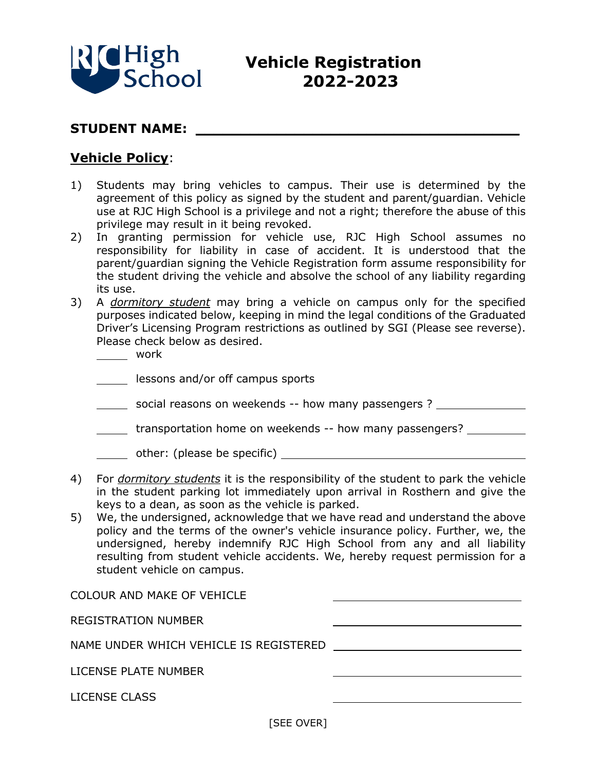

## **Vehicle Registration 2022-2023**

## STUDENT NAME:

## **Vehicle Policy**:

- 1) Students may bring vehicles to campus. Their use is determined by the agreement of this policy as signed by the student and parent/guardian. Vehicle use at RJC High School is a privilege and not a right; therefore the abuse of this privilege may result in it being revoked.
- 2) In granting permission for vehicle use, RJC High School assumes no responsibility for liability in case of accident. It is understood that the parent/guardian signing the Vehicle Registration form assume responsibility for the student driving the vehicle and absolve the school of any liability regarding its use.
- 3) A *dormitory student* may bring a vehicle on campus only for the specified purposes indicated below, keeping in mind the legal conditions of the Graduated Driver's Licensing Program restrictions as outlined by SGI (Please see reverse). Please check below as desired.

work

**Lessons and/or off campus sports** 

- social reasons on weekends -- how many passengers ?
- **transportation home on weekends -- how many passengers?**

other: (please be specific)

- 4) For *dormitory students* it is the responsibility of the student to park the vehicle in the student parking lot immediately upon arrival in Rosthern and give the keys to a dean, as soon as the vehicle is parked.
- 5) We, the undersigned, acknowledge that we have read and understand the above policy and the terms of the owner's vehicle insurance policy. Further, we, the undersigned, hereby indemnify RJC High School from any and all liability resulting from student vehicle accidents. We, hereby request permission for a student vehicle on campus.

| <b>COLOUR AND MAKE OF VEHICLE</b>      |  |
|----------------------------------------|--|
| <b>REGISTRATION NUMBER</b>             |  |
| NAME UNDER WHICH VEHICLE IS REGISTERED |  |
|                                        |  |
| LICENSE PLATE NUMBER                   |  |
| LICENSE CLASS                          |  |

[SEE OVER]